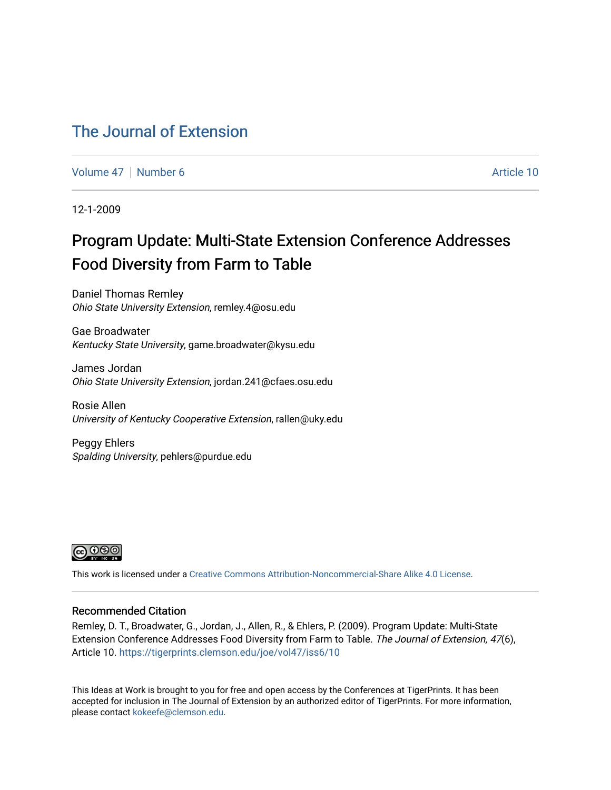### [The Journal of Extension](https://tigerprints.clemson.edu/joe)

[Volume 47](https://tigerprints.clemson.edu/joe/vol47) | [Number 6](https://tigerprints.clemson.edu/joe/vol47/iss6) Article 10

12-1-2009

# Program Update: Multi-State Extension Conference Addresses Food Diversity from Farm to Table

Daniel Thomas Remley Ohio State University Extension, remley.4@osu.edu

Gae Broadwater Kentucky State University, game.broadwater@kysu.edu

James Jordan Ohio State University Extension, jordan.241@cfaes.osu.edu

Rosie Allen University of Kentucky Cooperative Extension, rallen@uky.edu

Peggy Ehlers Spalding University, pehlers@purdue.edu



This work is licensed under a [Creative Commons Attribution-Noncommercial-Share Alike 4.0 License.](https://creativecommons.org/licenses/by-nc-sa/4.0/)

#### Recommended Citation

Remley, D. T., Broadwater, G., Jordan, J., Allen, R., & Ehlers, P. (2009). Program Update: Multi-State Extension Conference Addresses Food Diversity from Farm to Table. The Journal of Extension, 47(6), Article 10. <https://tigerprints.clemson.edu/joe/vol47/iss6/10>

This Ideas at Work is brought to you for free and open access by the Conferences at TigerPrints. It has been accepted for inclusion in The Journal of Extension by an authorized editor of TigerPrints. For more information, please contact [kokeefe@clemson.edu](mailto:kokeefe@clemson.edu).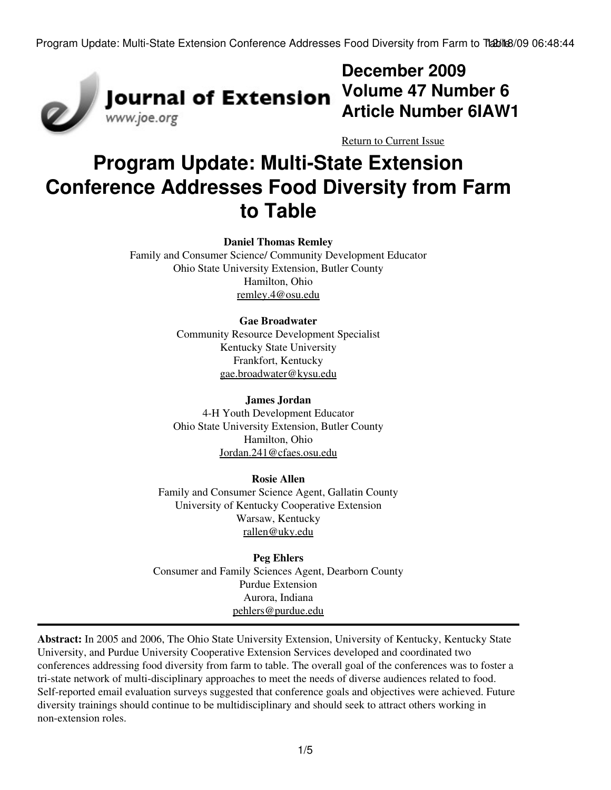

# **December 2009 Volume 47 Number 6 Article Number 6IAW1**

[Return to Current Issue](http://www.joe.org:80/joe/2009december/)

# **Program Update: Multi-State Extension Conference Addresses Food Diversity from Farm to Table**

#### **Daniel Thomas Remley**

Family and Consumer Science/ Community Development Educator Ohio State University Extension, Butler County Hamilton, Ohio [remley.4@osu.edu](mailto:remley.4@osu.edu)

#### **Gae Broadwater**

Community Resource Development Specialist Kentucky State University Frankfort, Kentucky [gae.broadwater@kysu.edu](mailto:gae.broadwater@kysu.edu)

#### **James Jordan**

4-H Youth Development Educator Ohio State University Extension, Butler County Hamilton, Ohio [Jordan.241@cfaes.osu.edu](mailto:Jordan.241@cfaes.osu.edu)

#### **Rosie Allen**

Family and Consumer Science Agent, Gallatin County University of Kentucky Cooperative Extension Warsaw, Kentucky [rallen@uky.edu](mailto:rallen@uky.edu)

**Peg Ehlers** Consumer and Family Sciences Agent, Dearborn County Purdue Extension Aurora, Indiana [pehlers@purdue.edu](mailto:pehlers@purdue.edu)

**Abstract:** In 2005 and 2006, The Ohio State University Extension, University of Kentucky, Kentucky State University, and Purdue University Cooperative Extension Services developed and coordinated two conferences addressing food diversity from farm to table. The overall goal of the conferences was to foster a tri-state network of multi-disciplinary approaches to meet the needs of diverse audiences related to food. Self-reported email evaluation surveys suggested that conference goals and objectives were achieved. Future diversity trainings should continue to be multidisciplinary and should seek to attract others working in non-extension roles.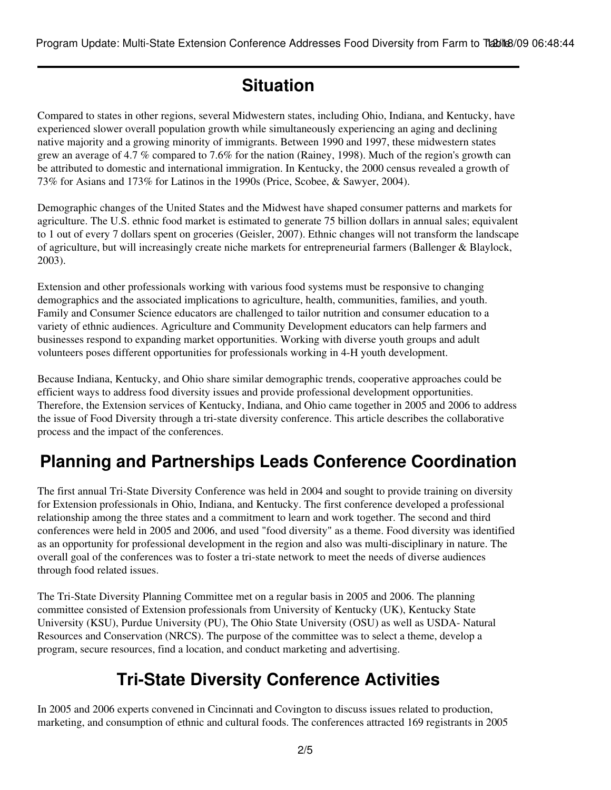# **Situation**

Compared to states in other regions, several Midwestern states, including Ohio, Indiana, and Kentucky, have experienced slower overall population growth while simultaneously experiencing an aging and declining native majority and a growing minority of immigrants. Between 1990 and 1997, these midwestern states grew an average of 4.7 % compared to 7.6% for the nation (Rainey, 1998). Much of the region's growth can be attributed to domestic and international immigration. In Kentucky, the 2000 census revealed a growth of 73% for Asians and 173% for Latinos in the 1990s (Price, Scobee, & Sawyer, 2004).

Demographic changes of the United States and the Midwest have shaped consumer patterns and markets for agriculture. The U.S. ethnic food market is estimated to generate 75 billion dollars in annual sales; equivalent to 1 out of every 7 dollars spent on groceries (Geisler, 2007). Ethnic changes will not transform the landscape of agriculture, but will increasingly create niche markets for entrepreneurial farmers (Ballenger & Blaylock, 2003).

Extension and other professionals working with various food systems must be responsive to changing demographics and the associated implications to agriculture, health, communities, families, and youth. Family and Consumer Science educators are challenged to tailor nutrition and consumer education to a variety of ethnic audiences. Agriculture and Community Development educators can help farmers and businesses respond to expanding market opportunities. Working with diverse youth groups and adult volunteers poses different opportunities for professionals working in 4-H youth development.

Because Indiana, Kentucky, and Ohio share similar demographic trends, cooperative approaches could be efficient ways to address food diversity issues and provide professional development opportunities. Therefore, the Extension services of Kentucky, Indiana, and Ohio came together in 2005 and 2006 to address the issue of Food Diversity through a tri-state diversity conference. This article describes the collaborative process and the impact of the conferences.

# **Planning and Partnerships Leads Conference Coordination**

The first annual Tri-State Diversity Conference was held in 2004 and sought to provide training on diversity for Extension professionals in Ohio, Indiana, and Kentucky. The first conference developed a professional relationship among the three states and a commitment to learn and work together. The second and third conferences were held in 2005 and 2006, and used "food diversity" as a theme. Food diversity was identified as an opportunity for professional development in the region and also was multi-disciplinary in nature. The overall goal of the conferences was to foster a tri-state network to meet the needs of diverse audiences through food related issues.

The Tri-State Diversity Planning Committee met on a regular basis in 2005 and 2006. The planning committee consisted of Extension professionals from University of Kentucky (UK), Kentucky State University (KSU), Purdue University (PU), The Ohio State University (OSU) as well as USDA- Natural Resources and Conservation (NRCS). The purpose of the committee was to select a theme, develop a program, secure resources, find a location, and conduct marketing and advertising.

# **Tri-State Diversity Conference Activities**

In 2005 and 2006 experts convened in Cincinnati and Covington to discuss issues related to production, marketing, and consumption of ethnic and cultural foods. The conferences attracted 169 registrants in 2005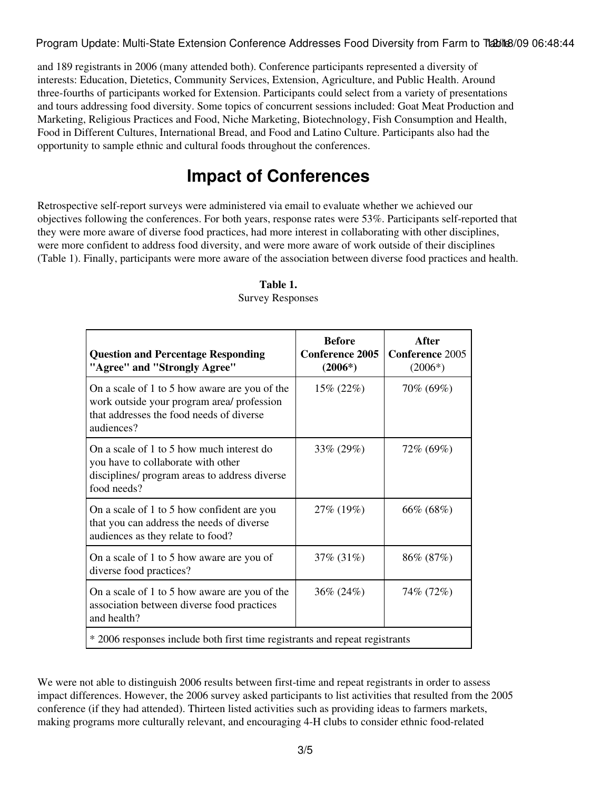and 189 registrants in 2006 (many attended both). Conference participants represented a diversity of interests: Education, Dietetics, Community Services, Extension, Agriculture, and Public Health. Around three-fourths of participants worked for Extension. Participants could select from a variety of presentations and tours addressing food diversity. Some topics of concurrent sessions included: Goat Meat Production and Marketing, Religious Practices and Food, Niche Marketing, Biotechnology, Fish Consumption and Health, Food in Different Cultures, International Bread, and Food and Latino Culture. Participants also had the opportunity to sample ethnic and cultural foods throughout the conferences.

## **Impact of Conferences**

Retrospective self-report surveys were administered via email to evaluate whether we achieved our objectives following the conferences. For both years, response rates were 53%. Participants self-reported that they were more aware of diverse food practices, had more interest in collaborating with other disciplines, were more confident to address food diversity, and were more aware of work outside of their disciplines (Table 1). Finally, participants were more aware of the association between diverse food practices and health.

| <b>Question and Percentage Responding</b><br>"Agree" and "Strongly Agree"                                                                             | <b>Before</b><br><b>Conference 2005</b><br>$(2006*)$ | After<br><b>Conference 2005</b><br>$(2006*)$ |
|-------------------------------------------------------------------------------------------------------------------------------------------------------|------------------------------------------------------|----------------------------------------------|
| On a scale of 1 to 5 how aware are you of the<br>work outside your program area/ profession<br>that addresses the food needs of diverse<br>audiences? | $15\% (22\%)$                                        | 70% (69%)                                    |
| On a scale of 1 to 5 how much interest do<br>you have to collaborate with other<br>disciplines/ program areas to address diverse<br>food needs?       | 33\% (29\%)                                          | 72% (69%)                                    |
| On a scale of 1 to 5 how confident are you<br>that you can address the needs of diverse<br>audiences as they relate to food?                          | 27% (19%)                                            | 66% (68%)                                    |
| On a scale of 1 to 5 how aware are you of<br>diverse food practices?                                                                                  | 37\% (31\%)                                          | 86% (87%)                                    |
| On a scale of 1 to 5 how aware are you of the<br>association between diverse food practices<br>and health?                                            | 36\% (24\%)                                          | 74% (72%)                                    |
| * 2006 responses include both first time registrants and repeat registrants                                                                           |                                                      |                                              |

#### **Table 1.** Survey Responses

We were not able to distinguish 2006 results between first-time and repeat registrants in order to assess impact differences. However, the 2006 survey asked participants to list activities that resulted from the 2005 conference (if they had attended). Thirteen listed activities such as providing ideas to farmers markets, making programs more culturally relevant, and encouraging 4-H clubs to consider ethnic food-related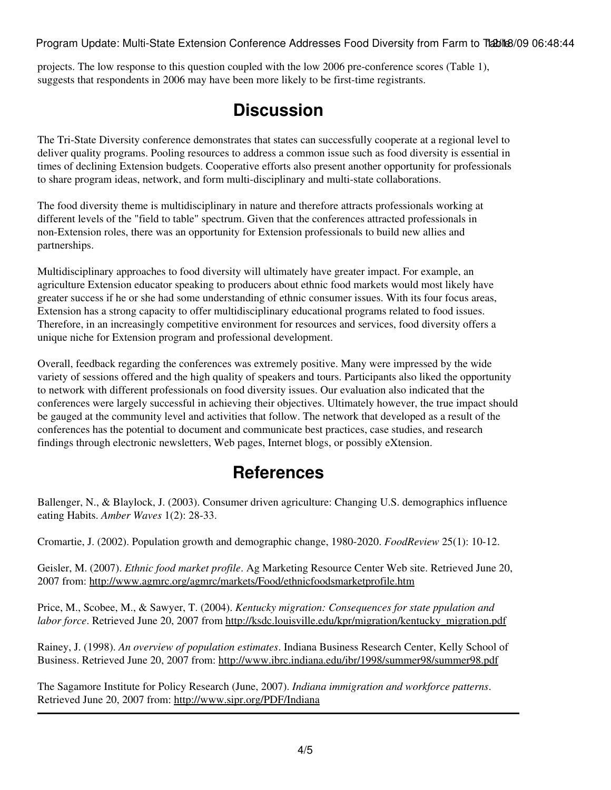projects. The low response to this question coupled with the low 2006 pre-conference scores (Table 1), suggests that respondents in 2006 may have been more likely to be first-time registrants.

# **Discussion**

The Tri-State Diversity conference demonstrates that states can successfully cooperate at a regional level to deliver quality programs. Pooling resources to address a common issue such as food diversity is essential in times of declining Extension budgets. Cooperative efforts also present another opportunity for professionals to share program ideas, network, and form multi-disciplinary and multi-state collaborations.

The food diversity theme is multidisciplinary in nature and therefore attracts professionals working at different levels of the "field to table" spectrum. Given that the conferences attracted professionals in non-Extension roles, there was an opportunity for Extension professionals to build new allies and partnerships.

Multidisciplinary approaches to food diversity will ultimately have greater impact. For example, an agriculture Extension educator speaking to producers about ethnic food markets would most likely have greater success if he or she had some understanding of ethnic consumer issues. With its four focus areas, Extension has a strong capacity to offer multidisciplinary educational programs related to food issues. Therefore, in an increasingly competitive environment for resources and services, food diversity offers a unique niche for Extension program and professional development.

Overall, feedback regarding the conferences was extremely positive. Many were impressed by the wide variety of sessions offered and the high quality of speakers and tours. Participants also liked the opportunity to network with different professionals on food diversity issues. Our evaluation also indicated that the conferences were largely successful in achieving their objectives. Ultimately however, the true impact should be gauged at the community level and activities that follow. The network that developed as a result of the conferences has the potential to document and communicate best practices, case studies, and research findings through electronic newsletters, Web pages, Internet blogs, or possibly eXtension.

## **References**

Ballenger, N., & Blaylock, J. (2003). Consumer driven agriculture: Changing U.S. demographics influence eating Habits. *Amber Waves* 1(2): 28-33.

Cromartie, J. (2002). Population growth and demographic change, 1980-2020. *FoodReview* 25(1): 10-12.

Geisler, M. (2007). *Ethnic food market profile*. Ag Marketing Resource Center Web site. Retrieved June 20, 2007 from: <http://www.agmrc.org/agmrc/markets/Food/ethnicfoodsmarketprofile.htm>

Price, M., Scobee, M., & Sawyer, T. (2004). *Kentucky migration: Consequences for state ppulation and labor force*. Retrieved June 20, 2007 from [http://ksdc.louisville.edu/kpr/migration/kentucky\\_migration.pdf](http://ksdc.louisville.edu/kpr/migration/kentucky_migration.pdf)

Rainey, J. (1998). *An overview of population estimates*. Indiana Business Research Center, Kelly School of Business. Retrieved June 20, 2007 from:<http://www.ibrc.indiana.edu/ibr/1998/summer98/summer98.pdf>

The Sagamore Institute for Policy Research (June, 2007). *Indiana immigration and workforce patterns*. Retrieved June 20, 2007 from:<http://www.sipr.org/PDF/Indiana>